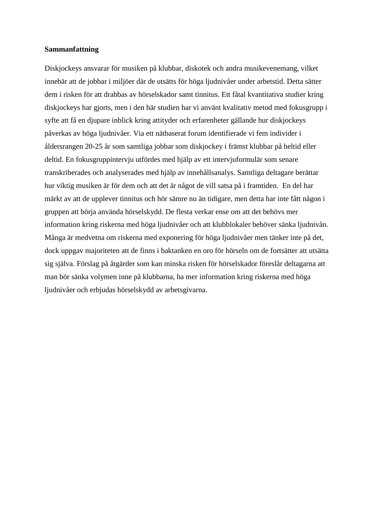## **Sammanfattning**

Diskjockeys ansvarar för musiken på klubbar, diskotek och andra musikevenemang, vilket innebär att de jobbar i miljöer där de utsätts för höga ljudnivåer under arbetstid. Detta sätter dem i risken för att drabbas av hörselskador samt tinnitus. Ett fåtal kvantitativa studier kring diskjockeys har gjorts, men i den här studien har vi använt kvalitativ metod med fokusgrupp i syfte att få en djupare inblick kring attityder och erfarenheter gällande hur diskjockeys påverkas av höga ljudnivåer. Via ett nätbaserat forum identifierade vi fem individer i åldersrangen 20-25 år som samtliga jobbar som diskjockey i främst klubbar på heltid eller deltid. En fokusgruppintervju utfördes med hjälp av ett intervjuformulär som senare transkriberades och analyserades med hjälp av innehållsanalys. Samtliga deltagare berättar hur viktig musiken är för dem och att det är något de vill satsa på i framtiden. En del har märkt av att de upplever tinnitus och hör sämre nu än tidigare, men detta har inte fått någon i gruppen att börja använda hörselskydd. De flesta verkar ense om att det behövs mer information kring riskerna med höga ljudnivåer och att klubblokaler behöver sänka ljudnivån. Många är medvetna om riskerna med exponering för höga ljudnivåer men tänker inte på det, dock uppgav majoriteten att de finns i baktanken en oro för hörseln om de fortsätter att utsätta sig själva. Förslag på åtgärder som kan minska risken för hörselskador föreslår deltagarna att man bör sänka volymen inne på klubbarna, ha mer information kring riskerna med höga ljudnivåer och erbjudas hörselskydd av arbetsgivarna.